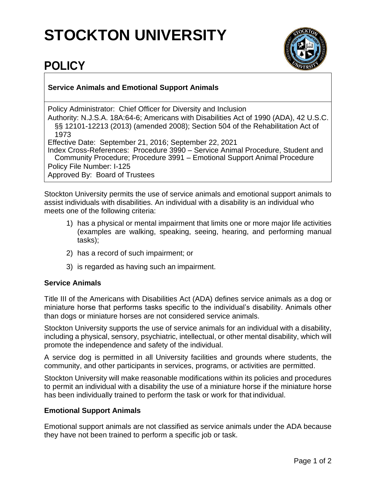# **STOCKTON UNIVERSITY**



## **POLICY**

### **Service Animals and Emotional Support Animals**

Policy Administrator: Chief Officer for Diversity and Inclusion

Authority: N.J.S.A. 18A:64-6; Americans with Disabilities Act of 1990 (ADA), 42 U.S.C. §§ 12101-12213 (2013) (amended 2008); Section 504 of the Rehabilitation Act of 1973

Effective Date: September 21, 2016; September 22, 2021

Index Cross-References: Procedure 3990 – Service Animal Procedure, Student and Community Procedure; Procedure 3991 – Emotional Support Animal Procedure Policy File Number: I-125 Approved By: Board of Trustees

Stockton University permits the use of service animals and emotional support animals to assist individuals with disabilities. An individual with a disability is an individual who meets one of the following criteria:

- 1) has a physical or mental impairment that limits one or more major life activities (examples are walking, speaking, seeing, hearing, and performing manual tasks);
- 2) has a record of such impairment; or
- 3) is regarded as having such an impairment.

#### **Service Animals**

Title III of the Americans with Disabilities Act (ADA) defines service animals as a dog or miniature horse that performs tasks specific to the individual's disability. Animals other than dogs or miniature horses are not considered service animals.

Stockton University supports the use of service animals for an individual with a disability, including a physical, sensory, psychiatric, intellectual, or other mental disability, which will promote the independence and safety of the individual.

A service dog is permitted in all University facilities and grounds where students, the community, and other participants in services, programs, or activities are permitted.

Stockton University will make reasonable modifications within its policies and procedures to permit an individual with a disability the use of a miniature horse if the miniature horse has been individually trained to perform the task or work for that individual.

#### **Emotional Support Animals**

Emotional support animals are not classified as service animals under the ADA because they have not been trained to perform a specific job or task.